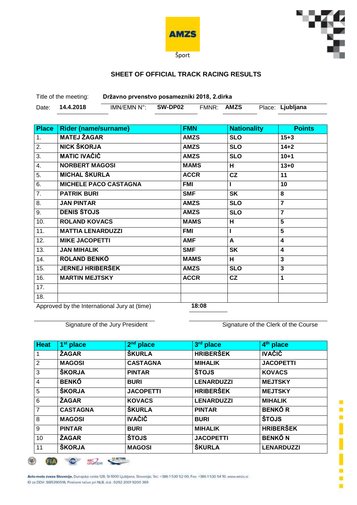



## **SHEET OF OFFICIAL TRACK RACING RESULTS**

Title of the meeting: **Državno prvenstvo posamezniki 2018, 2.dirka**

| Date: | 14.4.2018 | IMN/EMN N°: | SW-DP02 | FMNR: | <b>AMZS</b> | Place: Ljubljana |  |
|-------|-----------|-------------|---------|-------|-------------|------------------|--|

| <b>Place</b> | <b>Rider (name/surname)</b>                  | <b>FMN</b>  | <b>Nationality</b> | <b>Points</b>           |
|--------------|----------------------------------------------|-------------|--------------------|-------------------------|
| 1.           | <b>MATEJ ŽAGAR</b>                           | <b>AMZS</b> | <b>SLO</b>         | $15 + 3$                |
| 2.           | NICK ŠKORJA                                  | <b>AMZS</b> | <b>SLO</b>         | $14 + 2$                |
| 3.           | <b>MATIC IVAČIČ</b>                          | <b>AMZS</b> | <b>SLO</b>         | $10 + 1$                |
| 4.           | <b>NORBERT MAGOSI</b>                        | <b>MAMS</b> | н                  | $13 + 0$                |
| 5.           | <b>MICHAL ŠKURLA</b>                         | <b>ACCR</b> | CZ                 | 11                      |
| 6.           | <b>MICHELE PACO CASTAGNA</b>                 | <b>FMI</b>  |                    | 10                      |
| 7.           | <b>PATRIK BURI</b>                           | <b>SMF</b>  | <b>SK</b>          | 8                       |
| 8.           | <b>JAN PINTAR</b>                            | <b>AMZS</b> | <b>SLO</b>         | 7                       |
| 9.           | <b>DENIS ŠTOJS</b>                           | <b>AMZS</b> | <b>SLO</b>         | $\overline{7}$          |
| 10.          | <b>ROLAND KOVACS</b>                         | <b>MAMS</b> | н                  | 5                       |
| 11.          | <b>MATTIA LENARDUZZI</b>                     | FMI         |                    | 5                       |
| 12.          | <b>MIKE JACOPETTI</b>                        | <b>AMF</b>  | A                  | 4                       |
| 13.          | <b>JAN MIHALIK</b>                           | <b>SMF</b>  | <b>SK</b>          | $\overline{\mathbf{4}}$ |
| 14.          | <b>ROLAND BENKŐ</b>                          | <b>MAMS</b> | н                  | 3                       |
| 15.          | <b>JERNEJ HRIBERŠEK</b>                      | <b>AMZS</b> | <b>SLO</b>         | 3                       |
| 16.          | <b>MARTIN MEJTSKY</b>                        | <b>ACCR</b> | cz                 | 1                       |
| 17.          |                                              |             |                    |                         |
| 18.          |                                              |             |                    |                         |
|              | Approved by the International Luny of (time) | 10.00       |                    |                         |

Approved by the International Jury at (time) **18:08**

Signature of the Jury President Signature of the Clerk of the Course

| <b>Heat</b>    | 1 <sup>st</sup> place | $2nd$ place      | 3rd place         | 4 <sup>th</sup> place |
|----------------|-----------------------|------------------|-------------------|-----------------------|
|                | <b>ŽAGAR</b>          | <b>ŠKURLA</b>    | <b>HRIBERŠEK</b>  | <b>IVAČIČ</b>         |
| $\overline{2}$ | <b>MAGOSI</b>         | <b>CASTAGNA</b>  | <b>MIHALIK</b>    | <b>JACOPETTI</b>      |
| 3              | <b>ŠKORJA</b>         | <b>PINTAR</b>    | <b>ŠTOJS</b>      | <b>KOVACS</b>         |
| $\overline{4}$ | <b>BENKŐ</b>          | <b>BURI</b>      | <b>LENARDUZZI</b> | <b>MEJTSKY</b>        |
| 5              | <b>ŠKORJA</b>         | <b>JACOPETTI</b> | <b>HRIBERŠEK</b>  | <b>MEJTSKY</b>        |
| 6              | <b>ŽAGAR</b>          | <b>KOVACS</b>    | <b>LENARDUZZI</b> | <b>MIHALIK</b>        |
| $\overline{7}$ | <b>CASTAGNA</b>       | <b>ŠKURLA</b>    | <b>PINTAR</b>     | <b>BENKŐR</b>         |
| 8              | <b>MAGOSI</b>         | <b>IVAČIČ</b>    | <b>BURI</b>       | <b>ŠTOJS</b>          |
| 9              | <b>PINTAR</b>         | <b>BURI</b>      | <b>MIHALIK</b>    | <b>HRIBERŠEK</b>      |
| 10             | <b>ZAGAR</b>          | <b>ŠTOJS</b>     | <b>JACOPETTI</b>  | <b>BENKŐ N</b>        |
| 11             | <b>ŠKORJA</b>         | <b>MAGOSI</b>    | <b>ŠKURLA</b>     | <b>LENARDUZZI</b>     |

O ARC CALIFORNIA ⊛ **STA** 

Avto-moto zveza Slovenije, Dunajska cesta 128, SI-1000 Ljubljana, Slovenija; Tel.: +386 1 530 52 00, Fax: +386 1 530 54 10, www.amzs.si ID za DDV: 5I85390518, Poslovni rečun pri NLB, d.d.: 0292 2001 9200 369